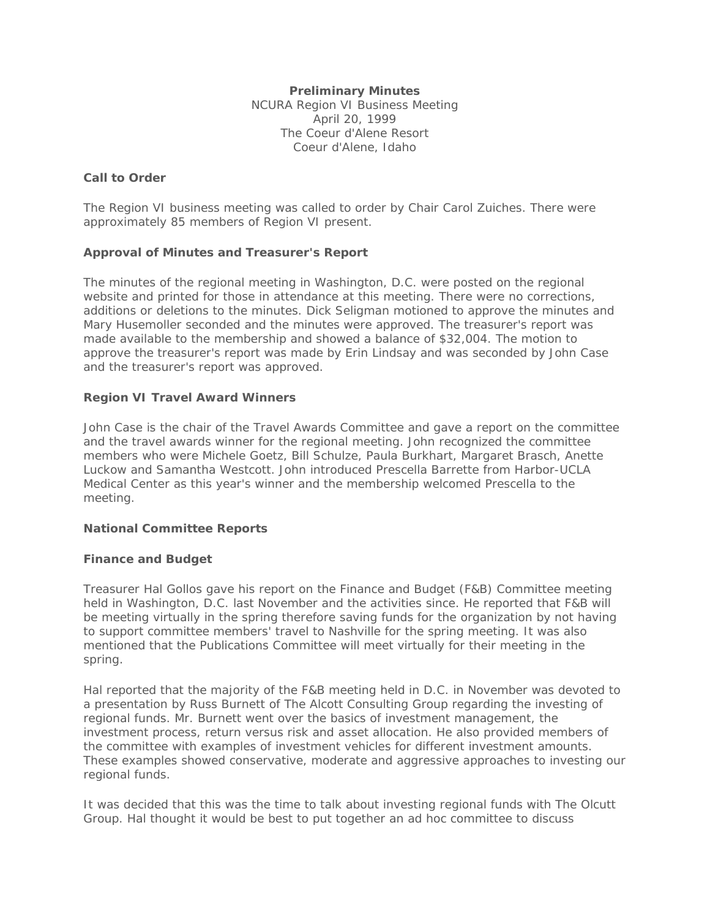#### **Preliminary Minutes**

NCURA Region VI Business Meeting April 20, 1999 The Coeur d'Alene Resort Coeur d'Alene, Idaho

## **Call to Order**

The Region VI business meeting was called to order by Chair Carol Zuiches. There were approximately 85 members of Region VI present.

# **Approval of Minutes and Treasurer's Report**

The minutes of the regional meeting in Washington, D.C. were posted on the regional website and printed for those in attendance at this meeting. There were no corrections, additions or deletions to the minutes. Dick Seligman motioned to approve the minutes and Mary Husemoller seconded and the minutes were approved. The treasurer's report was made available to the membership and showed a balance of \$32,004. The motion to approve the treasurer's report was made by Erin Lindsay and was seconded by John Case and the treasurer's report was approved.

# **Region VI Travel Award Winners**

John Case is the chair of the Travel Awards Committee and gave a report on the committee and the travel awards winner for the regional meeting. John recognized the committee members who were Michele Goetz, Bill Schulze, Paula Burkhart, Margaret Brasch, Anette Luckow and Samantha Westcott. John introduced Prescella Barrette from Harbor-UCLA Medical Center as this year's winner and the membership welcomed Prescella to the meeting.

# **National Committee Reports**

## **Finance and Budget**

Treasurer Hal Gollos gave his report on the Finance and Budget (F&B) Committee meeting held in Washington, D.C. last November and the activities since. He reported that F&B will be meeting virtually in the spring therefore saving funds for the organization by not having to support committee members' travel to Nashville for the spring meeting. It was also mentioned that the Publications Committee will meet virtually for their meeting in the spring.

Hal reported that the majority of the F&B meeting held in D.C. in November was devoted to a presentation by Russ Burnett of The Alcott Consulting Group regarding the investing of regional funds. Mr. Burnett went over the basics of investment management, the investment process, return versus risk and asset allocation. He also provided members of the committee with examples of investment vehicles for different investment amounts. These examples showed conservative, moderate and aggressive approaches to investing our regional funds.

It was decided that this was the time to talk about investing regional funds with The Olcutt Group. Hal thought it would be best to put together an ad hoc committee to discuss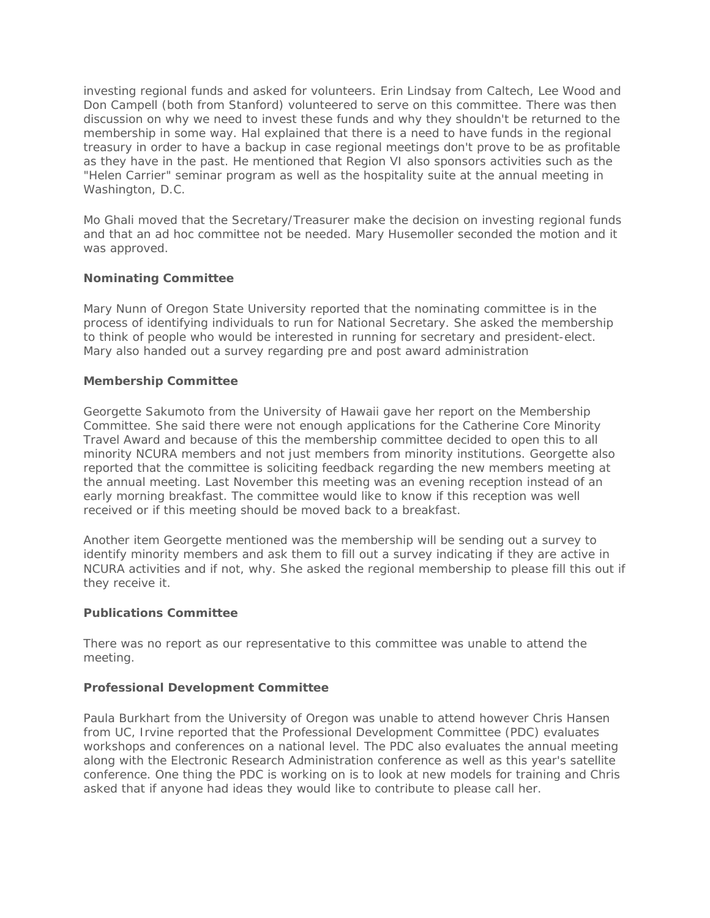investing regional funds and asked for volunteers. Erin Lindsay from Caltech, Lee Wood and Don Campell (both from Stanford) volunteered to serve on this committee. There was then discussion on why we need to invest these funds and why they shouldn't be returned to the membership in some way. Hal explained that there is a need to have funds in the regional treasury in order to have a backup in case regional meetings don't prove to be as profitable as they have in the past. He mentioned that Region VI also sponsors activities such as the "Helen Carrier" seminar program as well as the hospitality suite at the annual meeting in Washington, D.C.

Mo Ghali moved that the Secretary/Treasurer make the decision on investing regional funds and that an ad hoc committee not be needed. Mary Husemoller seconded the motion and it was approved.

## **Nominating Committee**

Mary Nunn of Oregon State University reported that the nominating committee is in the process of identifying individuals to run for National Secretary. She asked the membership to think of people who would be interested in running for secretary and president-elect. Mary also handed out a survey regarding pre and post award administration

## **Membership Committee**

Georgette Sakumoto from the University of Hawaii gave her report on the Membership Committee. She said there were not enough applications for the Catherine Core Minority Travel Award and because of this the membership committee decided to open this to all minority NCURA members and not just members from minority institutions. Georgette also reported that the committee is soliciting feedback regarding the new members meeting at the annual meeting. Last November this meeting was an evening reception instead of an early morning breakfast. The committee would like to know if this reception was well received or if this meeting should be moved back to a breakfast.

Another item Georgette mentioned was the membership will be sending out a survey to identify minority members and ask them to fill out a survey indicating if they are active in NCURA activities and if not, why. She asked the regional membership to please fill this out if they receive it.

## **Publications Committee**

There was no report as our representative to this committee was unable to attend the meeting.

## **Professional Development Committee**

Paula Burkhart from the University of Oregon was unable to attend however Chris Hansen from UC, Irvine reported that the Professional Development Committee (PDC) evaluates workshops and conferences on a national level. The PDC also evaluates the annual meeting along with the Electronic Research Administration conference as well as this year's satellite conference. One thing the PDC is working on is to look at new models for training and Chris asked that if anyone had ideas they would like to contribute to please call her.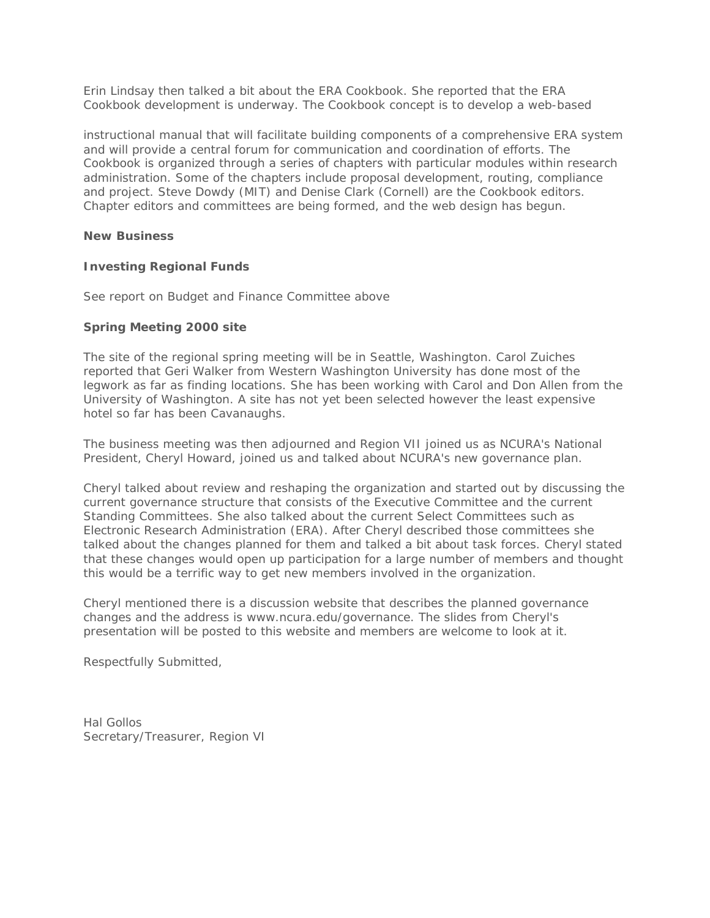Erin Lindsay then talked a bit about the ERA Cookbook. She reported that the ERA Cookbook development is underway. The Cookbook concept is to develop a web-based

instructional manual that will facilitate building components of a comprehensive ERA system and will provide a central forum for communication and coordination of efforts. The Cookbook is organized through a series of chapters with particular modules within research administration. Some of the chapters include proposal development, routing, compliance and project. Steve Dowdy (MIT) and Denise Clark (Cornell) are the Cookbook editors. Chapter editors and committees are being formed, and the web design has begun.

#### **New Business**

## **Investing Regional Funds**

See report on Budget and Finance Committee above

## **Spring Meeting 2000 site**

The site of the regional spring meeting will be in Seattle, Washington. Carol Zuiches reported that Geri Walker from Western Washington University has done most of the legwork as far as finding locations. She has been working with Carol and Don Allen from the University of Washington. A site has not yet been selected however the least expensive hotel so far has been Cavanaughs.

The business meeting was then adjourned and Region VII joined us as NCURA's National President, Cheryl Howard, joined us and talked about NCURA's new governance plan.

Cheryl talked about review and reshaping the organization and started out by discussing the current governance structure that consists of the Executive Committee and the current Standing Committees. She also talked about the current Select Committees such as Electronic Research Administration (ERA). After Cheryl described those committees she talked about the changes planned for them and talked a bit about task forces. Cheryl stated that these changes would open up participation for a large number of members and thought this would be a terrific way to get new members involved in the organization.

Cheryl mentioned there is a discussion website that describes the planned governance changes and the address is www.ncura.edu/governance. The slides from Cheryl's presentation will be posted to this website and members are welcome to look at it.

Respectfully Submitted,

Hal Gollos Secretary/Treasurer, Region VI